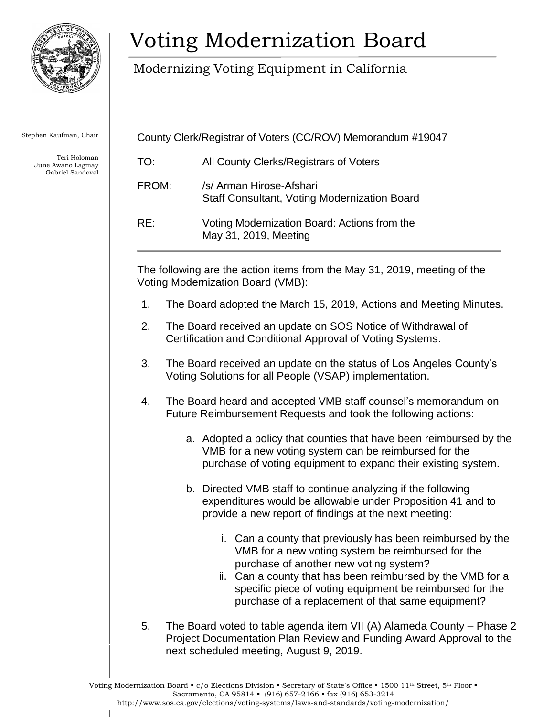

Stephen Kaufman, Chair

Teri Holoman June Awano Lagmay Gabriel Sandoval

## Voting Modernization Board

Modernizing Voting Equipment in California

| County Clerk/Registrar of Voters (CC/ROV) Memorandum #19047 |                                                                                 |
|-------------------------------------------------------------|---------------------------------------------------------------------------------|
| TO:                                                         | All County Clerks/Registrars of Voters                                          |
| FROM:                                                       | /s/ Arman Hirose-Afshari<br><b>Staff Consultant, Voting Modernization Board</b> |
| RE:                                                         | Voting Modernization Board: Actions from the<br>May 31, 2019, Meeting           |

The following are the action items from the May 31, 2019, meeting of the Voting Modernization Board (VMB):

- 1. The Board adopted the March 15, 2019, Actions and Meeting Minutes.
- 2. The Board received an update on SOS Notice of Withdrawal of Certification and Conditional Approval of Voting Systems.
- 3. The Board received an update on the status of Los Angeles County's Voting Solutions for all People (VSAP) implementation.
- 4. The Board heard and accepted VMB staff counsel's memorandum on Future Reimbursement Requests and took the following actions:
	- a. Adopted a policy that counties that have been reimbursed by the VMB for a new voting system can be reimbursed for the purchase of voting equipment to expand their existing system.
	- b. Directed VMB staff to continue analyzing if the following expenditures would be allowable under Proposition 41 and to provide a new report of findings at the next meeting:
		- i. Can a county that previously has been reimbursed by the VMB for a new voting system be reimbursed for the purchase of another new voting system?
		- ii. Can a county that has been reimbursed by the VMB for a specific piece of voting equipment be reimbursed for the purchase of a replacement of that same equipment?
- 5. The Board voted to table agenda item VII (A) Alameda County Phase 2 Project Documentation Plan Review and Funding Award Approval to the next scheduled meeting, August 9, 2019.